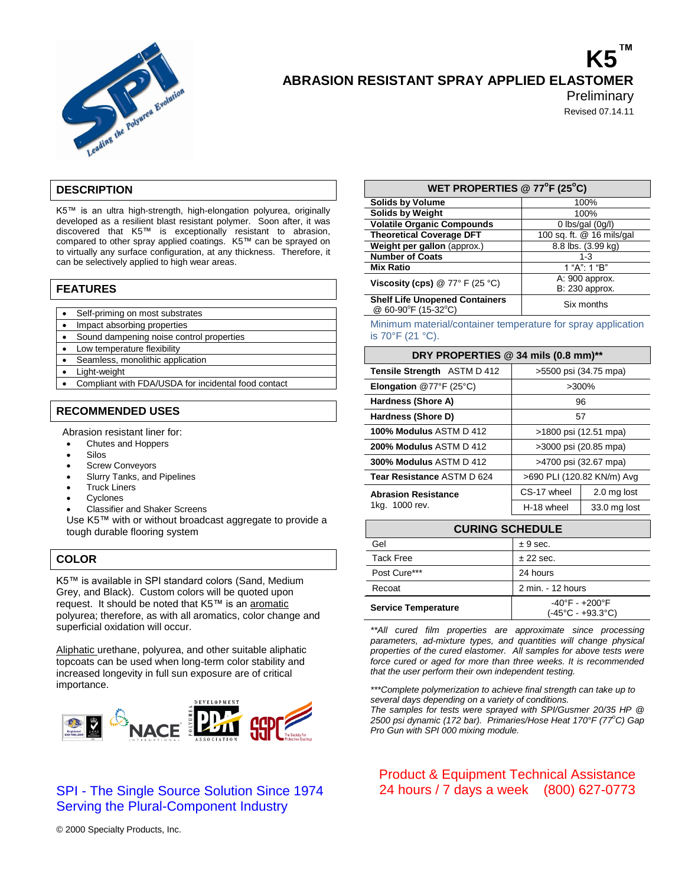

# **K5™ ABRASION RESISTANT SPRAY APPLIED ELASTOMER**

**Preliminary** 

Revised 07.14.11

## **DESCRIPTION**

K5™ is an ultra high-strength, high-elongation polyurea, originally developed as a resilient blast resistant polymer. Soon after, it was discovered that K5™ is exceptionally resistant to abrasion, compared to other spray applied coatings. K5™ can be sprayed on to virtually any surface configuration, at any thickness. Therefore, it can be selectively applied to high wear areas.

## **FEATURES**

- Self-priming on most substrates
- Impact absorbing properties
- Sound dampening noise control properties
- Low temperature flexibility
- Seamless, monolithic application
- Light-weight
- Compliant with FDA/USDA for incidental food contact

## **RECOMMENDED USES**

Abrasion resistant liner for:

- Chutes and Hoppers
- Silos
- Screw Conveyors
- Slurry Tanks, and Pipelines
- Truck Liners
- **Cyclones**
- Classifier and Shaker Screens

Use K5™ with or without broadcast aggregate to provide a tough durable flooring system

## **COLOR**

K5™ is available in SPI standard colors (Sand, Medium Grey, and Black). Custom colors will be quoted upon request. It should be noted that K5™ is an aromatic polyurea; therefore, as with all aromatics, color change and superficial oxidation will occur.

Aliphatic urethane, polyurea, and other suitable aliphatic topcoats can be used when long-term color stability and increased longevity in full sun exposure are of critical importance.



# SPI - The Single Source Solution Since 1974 Serving the Plural-Component Industry

| WET PROPERTIES @ 77°F (25°C)          |                           |  |
|---------------------------------------|---------------------------|--|
| <b>Solids by Volume</b>               | 100%                      |  |
| <b>Solids by Weight</b>               | 100%                      |  |
| <b>Volatile Organic Compounds</b>     | 0 lbs/gal $(0g/l)$        |  |
| <b>Theoretical Coverage DFT</b>       | 100 sq. ft. @ 16 mils/gal |  |
| Weight per gallon (approx.)           | 8.8 lbs. (3.99 kg)        |  |
| <b>Number of Coats</b>                | $1 - 3$                   |  |
| <b>Mix Ratio</b>                      | 1 "A": 1 "B"              |  |
| Viscosity (cps) $@ 77° F (25 °C)$     | A: 900 approx.            |  |
|                                       | B: 230 approx.            |  |
| <b>Shelf Life Unopened Containers</b> | Observation               |  |

 $\frac{1}{2}$  Six months  $\frac{1}{2}$  60-90<sup>°</sup>F (15-32<sup>°</sup>C)

Minimum material/container temperature for spray application is 70°F (21 °C).

## **DRY PROPERTIES @ 34 mils (0.8 mm)\*\***

| <b>Tensile Strength ASTM D 412</b>           | >5500 psi (34.75 mpa)      |              |
|----------------------------------------------|----------------------------|--------------|
| <b>Elongation</b> @77°F (25°C)               | >300%                      |              |
| Hardness (Shore A)                           | 96                         |              |
| Hardness (Shore D)                           | 57                         |              |
| <b>100% Modulus ASTM D 412</b>               | >1800 psi (12.51 mpa)      |              |
| 200% Modulus ASTM D 412                      | >3000 psi (20.85 mpa)      |              |
| <b>300% Modulus ASTM D 412</b>               | >4700 psi (32.67 mpa)      |              |
| Tear Resistance ASTM D 624                   | >690 PLI (120.82 KN/m) Avg |              |
| <b>Abrasion Resistance</b><br>1kg. 1000 rev. | CS-17 wheel                | 2.0 mg lost  |
|                                              | H-18 wheel                 | 33.0 mg lost |
|                                              |                            |              |

| <b>CURING SCHEDULE</b>     |                                                                         |  |
|----------------------------|-------------------------------------------------------------------------|--|
| Gel                        | ± 9 sec.                                                                |  |
| <b>Tack Free</b>           | $±$ 22 sec.                                                             |  |
| Post Cure***               | 24 hours                                                                |  |
| Recoat                     | 2 min. - 12 hours                                                       |  |
| <b>Service Temperature</b> | $-40^{\circ}$ F - $+200^{\circ}$ F<br>$(-45^{\circ}C - +93.3^{\circ}C)$ |  |

*\*\*All cured film properties are approximate since processing parameters, ad-mixture types, and quantities will change physical properties of the cured elastomer. All samples for above tests were force cured or aged for more than three weeks. It is recommended that the user perform their own independent testing.*

*\*\*\*Complete polymerization to achieve final strength can take up to several days depending on a variety of conditions.*

*The samples for tests were sprayed with SPI/Gusmer 20/35 HP @ 2500 psi dynamic (172 bar). Primaries/Hose Heat 170°F (77<sup>o</sup>C) Gap Pro Gun with SPI 000 mixing module.*

Product & Equipment Technical Assistance 24 hours / 7 days a week (800) 627-0773